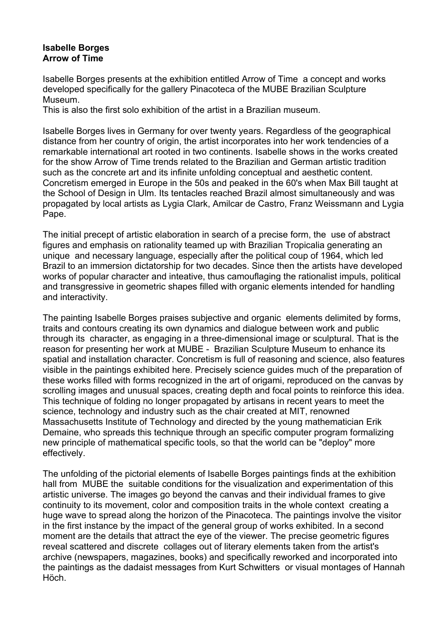## **Isabelle Borges Arrow of Time**

Isabelle Borges presents at the exhibition entitled Arrow of Time a concept and works developed specifically for the gallery Pinacoteca of the MUBE Brazilian Sculpture Museum.

This is also the first solo exhibition of the artist in a Brazilian museum.

Isabelle Borges lives in Germany for over twenty years. Regardless of the geographical distance from her country of origin, the artist incorporates into her work tendencies of a remarkable international art rooted in two continents. Isabelle shows in the works created for the show Arrow of Time trends related to the Brazilian and German artistic tradition such as the concrete art and its infinite unfolding conceptual and aesthetic content. Concretism emerged in Europe in the 50s and peaked in the 60's when Max Bill taught at the School of Design in Ulm. Its tentacles reached Brazil almost simultaneously and was propagated by local artists as Lygia Clark, Amilcar de Castro, Franz Weissmann and Lygia Pape.

The initial precept of artistic elaboration in search of a precise form, the use of abstract figures and emphasis on rationality teamed up with Brazilian Tropicalia generating an unique and necessary language, especially after the political coup of 1964, which led Brazil to an immersion dictatorship for two decades. Since then the artists have developed works of popular character and inteative, thus camouflaging the rationalist impuls, political and transgressive in geometric shapes filled with organic elements intended for handling and interactivity.

The painting Isabelle Borges praises subjective and organic elements delimited by forms, traits and contours creating its own dynamics and dialogue between work and public through its character, as engaging in a three-dimensional image or sculptural. That is the reason for presenting her work at MUBE - Brazilian Sculpture Museum to enhance its spatial and installation character. Concretism is full of reasoning and science, also features visible in the paintings exhibited here. Precisely science guides much of the preparation of these works filled with forms recognized in the art of origami, reproduced on the canvas by scrolling images and unusual spaces, creating depth and focal points to reinforce this idea. This technique of folding no longer propagated by artisans in recent years to meet the science, technology and industry such as the chair created at MIT, renowned Massachusetts Institute of Technology and directed by the young mathematician Erik Demaine, who spreads this technique through an specific computer program formalizing new principle of mathematical specific tools, so that the world can be "deploy" more effectively.

The unfolding of the pictorial elements of Isabelle Borges paintings finds at the exhibition hall from MUBE the suitable conditions for the visualization and experimentation of this artistic universe. The images go beyond the canvas and their individual frames to give continuity to its movement, color and composition traits in the whole context creating a huge wave to spread along the horizon of the Pinacoteca. The paintings involve the visitor in the first instance by the impact of the general group of works exhibited. In a second moment are the details that attract the eye of the viewer. The precise geometric figures reveal scattered and discrete collages out of literary elements taken from the artist's archive (newspapers, magazines, books) and specifically reworked and incorporated into the paintings as the dadaist messages from Kurt Schwitters or visual montages of Hannah Höch.